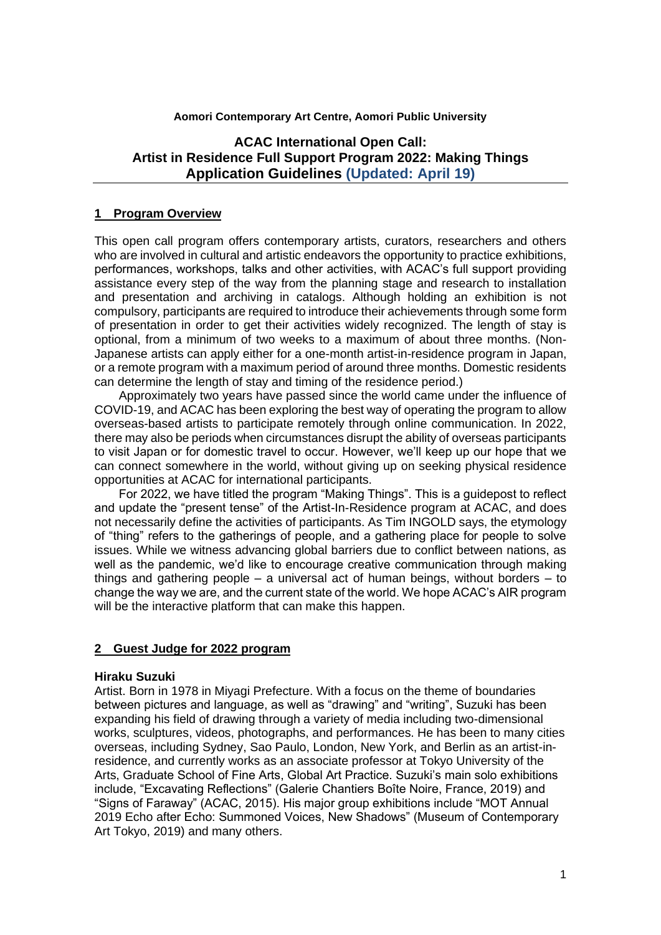#### **Aomori Contemporary Art Centre, Aomori Public University**

## **ACAC International Open Call: Artist in Residence Full Support Program 2022: Making Things Application Guidelines (Updated: April 19)**

#### **1 Program Overview**

This open call program offers contemporary artists, curators, researchers and others who are involved in cultural and artistic endeavors the opportunity to practice exhibitions, performances, workshops, talks and other activities, with ACAC's full support providing assistance every step of the way from the planning stage and research to installation and presentation and archiving in catalogs. Although holding an exhibition is not compulsory, participants are required to introduce their achievements through some form of presentation in order to get their activities widely recognized. The length of stay is optional, from a minimum of two weeks to a maximum of about three months. (Non-Japanese artists can apply either for a one-month artist-in-residence program in Japan, or a remote program with a maximum period of around three months. Domestic residents can determine the length of stay and timing of the residence period.)

Approximately two years have passed since the world came under the influence of COVID-19, and ACAC has been exploring the best way of operating the program to allow overseas-based artists to participate remotely through online communication. In 2022, there may also be periods when circumstances disrupt the ability of overseas participants to visit Japan or for domestic travel to occur. However, we'll keep up our hope that we can connect somewhere in the world, without giving up on seeking physical residence opportunities at ACAC for international participants.

For 2022, we have titled the program "Making Things". This is a guidepost to reflect and update the "present tense" of the Artist-In-Residence program at ACAC, and does not necessarily define the activities of participants. As Tim INGOLD says, the etymology of "thing" refers to the gatherings of people, and a gathering place for people to solve issues. While we witness advancing global barriers due to conflict between nations, as well as the pandemic, we'd like to encourage creative communication through making things and gathering people – a universal act of human beings, without borders  $-$  to change the way we are, and the current state of the world. We hope ACAC's AIR program will be the interactive platform that can make this happen.

#### **2 Guest Judge for 2022 program**

#### **Hiraku Suzuki**

Artist. Born in 1978 in Miyagi Prefecture. With a focus on the theme of boundaries between pictures and language, as well as "drawing" and "writing", Suzuki has been expanding his field of drawing through a variety of media including two-dimensional works, sculptures, videos, photographs, and performances. He has been to many cities overseas, including Sydney, Sao Paulo, London, New York, and Berlin as an artist-inresidence, and currently works as an associate professor at Tokyo University of the Arts, Graduate School of Fine Arts, Global Art Practice. Suzuki's main solo exhibitions include, "Excavating Reflections" (Galerie Chantiers Boîte Noire, France, 2019) and "Signs of Faraway" (ACAC, 2015). His major group exhibitions include "MOT Annual 2019 Echo after Echo: Summoned Voices, New Shadows" (Museum of Contemporary Art Tokyo, 2019) and many others.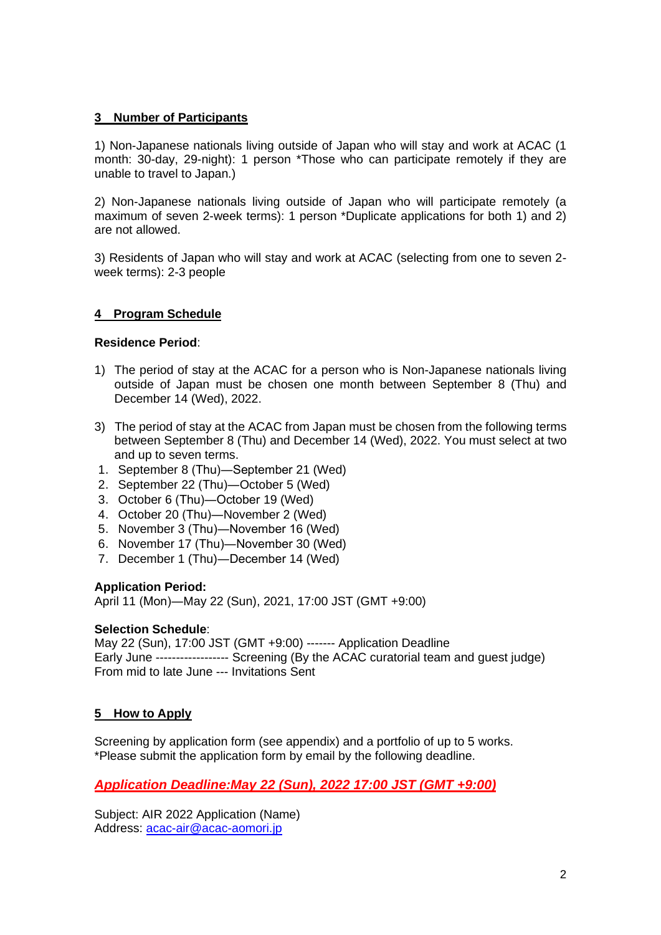### **3 Number of Participants**

1) Non-Japanese nationals living outside of Japan who will stay and work at ACAC (1 month: 30-day, 29-night): 1 person \*Those who can participate remotely if they are unable to travel to Japan.)

2) Non-Japanese nationals living outside of Japan who will participate remotely (a maximum of seven 2-week terms): 1 person \*Duplicate applications for both 1) and 2) are not allowed.

3) Residents of Japan who will stay and work at ACAC (selecting from one to seven 2 week terms): 2-3 people

## **4 Program Schedule**

#### **Residence Period**:

- 1) The period of stay at the ACAC for a person who is Non-Japanese nationals living outside of Japan must be chosen one month between September 8 (Thu) and December 14 (Wed), 2022.
- 3) The period of stay at the ACAC from Japan must be chosen from the following terms between September 8 (Thu) and December 14 (Wed), 2022. You must select at two and up to seven terms.
- 1.September 8 (Thu)―September 21 (Wed)
- 2.September 22 (Thu)―October 5 (Wed)
- 3. October 6 (Thu)—October 19 (Wed)
- 4.October 20 (Thu)―November 2 (Wed)
- 5. November 3 (Thu)—November 16 (Wed)
- 6.November 17 (Thu)―November 30 (Wed)
- 7.December 1 (Thu)―December 14 (Wed)

#### **Application Period:**

April 11 (Mon)―May 22 (Sun), 2021, 17:00 JST (GMT +9:00)

#### **Selection Schedule**:

May 22 (Sun), 17:00 JST (GMT +9:00) ------- Application Deadline Early June ------------------ Screening (By the ACAC curatorial team and guest judge) From mid to late June --- Invitations Sent

#### **5 How to Apply**

Screening by application form (see appendix) and a portfolio of up to 5 works. \*Please submit the application form by email by the following deadline.

*Application Deadline:May 22 (Sun), 2022 17:00 JST (GMT +9:00)*

Subject: AIR 2022 Application (Name) Address: [acac-air@acac-aomori.jp](mailto:acac-air@acac-aomori.jp)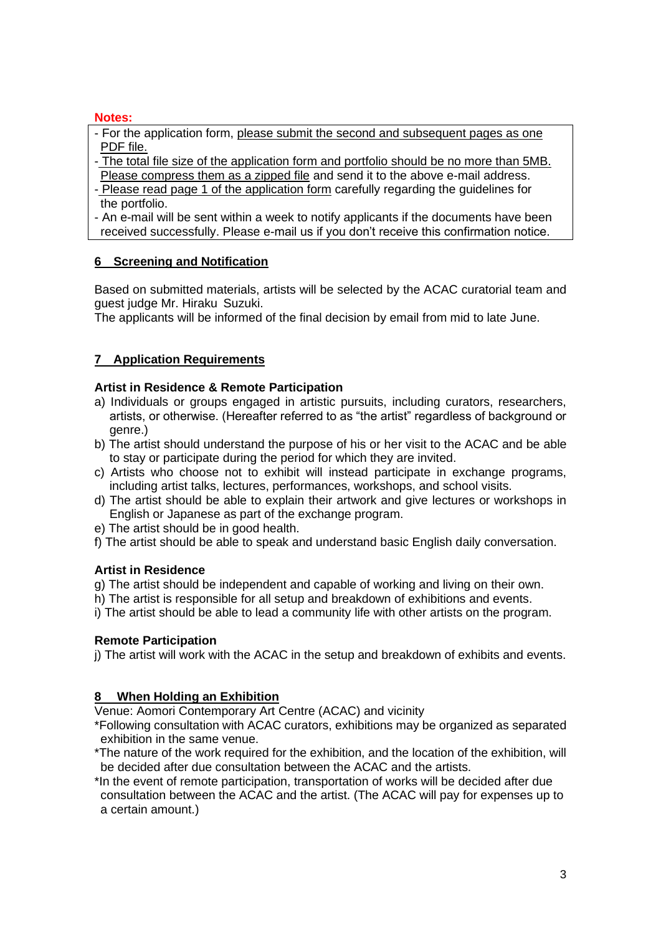### **Notes:**

- For the application form, please submit the second and subsequent pages as one PDF file.
- The total file size of the application form and portfolio should be no more than 5MB. Please compress them as a zipped file and send it to the above e-mail address.
- Please read page 1 of the application form carefully regarding the guidelines for the portfolio.
- An e-mail will be sent within a week to notify applicants if the documents have been received successfully. Please e-mail us if you don't receive this confirmation notice.

## **6 Screening and Notification**

Based on submitted materials, artists will be selected by the ACAC curatorial team and guest judge Mr. Hiraku Suzuki.

The applicants will be informed of the final decision by email from mid to late June.

# **7 Application Requirements**

## **Artist in Residence & Remote Participation**

- a) Individuals or groups engaged in artistic pursuits, including curators, researchers, artists, or otherwise. (Hereafter referred to as "the artist" regardless of background or genre.)
- b) The artist should understand the purpose of his or her visit to the ACAC and be able to stay or participate during the period for which they are invited.
- c) Artists who choose not to exhibit will instead participate in exchange programs, including artist talks, lectures, performances, workshops, and school visits.
- d) The artist should be able to explain their artwork and give lectures or workshops in English or Japanese as part of the exchange program.
- e) The artist should be in good health.
- f) The artist should be able to speak and understand basic English daily conversation.

## **Artist in Residence**

g) The artist should be independent and capable of working and living on their own.

- h) The artist is responsible for all setup and breakdown of exhibitions and events.
- i) The artist should be able to lead a community life with other artists on the program.

## **Remote Participation**

j) The artist will work with the ACAC in the setup and breakdown of exhibits and events.

## **8 When Holding an Exhibition**

Venue: Aomori Contemporary Art Centre (ACAC) and vicinity

- \*Following consultation with ACAC curators, exhibitions may be organized as separated exhibition in the same venue.
- \*The nature of the work required for the exhibition, and the location of the exhibition, will be decided after due consultation between the ACAC and the artists.
- \*In the event of remote participation, transportation of works will be decided after due consultation between the ACAC and the artist. (The ACAC will pay for expenses up to a certain amount.)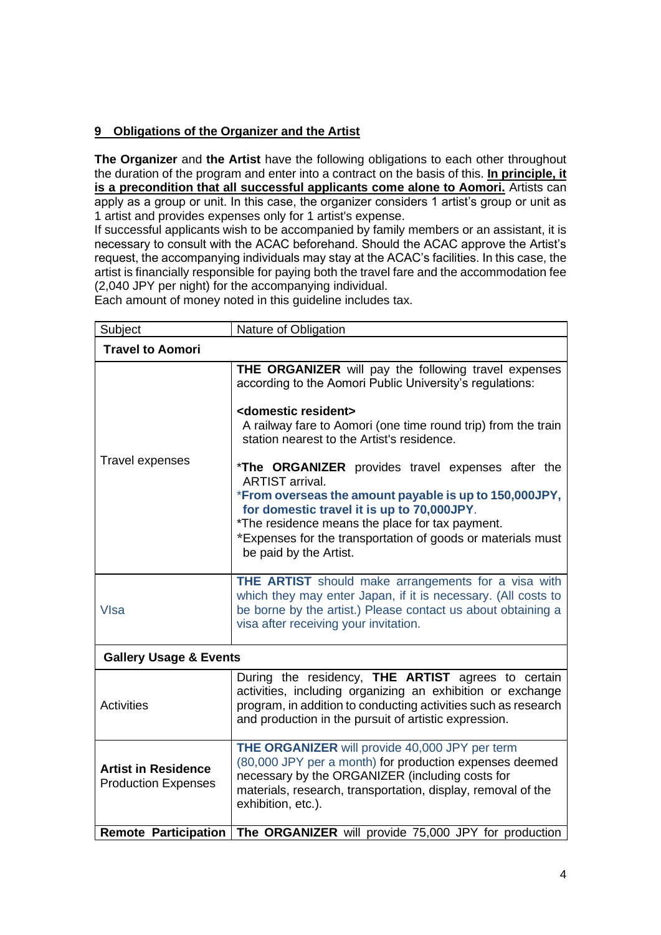## **9 Obligations of the Organizer and the Artist**

**The Organizer** and **the Artist** have the following obligations to each other throughout the duration of the program and enter into a contract on the basis of this. **In principle, it is a precondition that all successful applicants come alone to Aomori.** Artists can apply as a group or unit. In this case, the organizer considers 1 artist's group or unit as 1 artist and provides expenses only for 1 artist's expense.

If successful applicants wish to be accompanied by family members or an assistant, it is necessary to consult with the ACAC beforehand. Should the ACAC approve the Artist's request, the accompanying individuals may stay at the ACAC's facilities. In this case, the artist is financially responsible for paying both the travel fare and the accommodation fee (2,040 JPY per night) for the accompanying individual.

Each amount of money noted in this guideline includes tax.

| Subject                                                  | Nature of Obligation                                                                                                                                                                                                                                                                                                                                                                                                                                                                                                                                                                                             |  |
|----------------------------------------------------------|------------------------------------------------------------------------------------------------------------------------------------------------------------------------------------------------------------------------------------------------------------------------------------------------------------------------------------------------------------------------------------------------------------------------------------------------------------------------------------------------------------------------------------------------------------------------------------------------------------------|--|
| <b>Travel to Aomori</b>                                  |                                                                                                                                                                                                                                                                                                                                                                                                                                                                                                                                                                                                                  |  |
| <b>Travel expenses</b>                                   | THE ORGANIZER will pay the following travel expenses<br>according to the Aomori Public University's regulations:<br><domestic resident=""><br/>A railway fare to Aomori (one time round trip) from the train<br/>station nearest to the Artist's residence.<br/>*The ORGANIZER provides travel expenses after the<br/><b>ARTIST</b> arrival.<br/>*From overseas the amount payable is up to 150,000JPY,<br/>for domestic travel it is up to 70,000JPY.<br/>*The residence means the place for tax payment.<br/>*Expenses for the transportation of goods or materials must<br/>be paid by the Artist.</domestic> |  |
| <b>VIsa</b>                                              | <b>THE ARTIST</b> should make arrangements for a visa with<br>which they may enter Japan, if it is necessary. (All costs to<br>be borne by the artist.) Please contact us about obtaining a<br>visa after receiving your invitation.                                                                                                                                                                                                                                                                                                                                                                             |  |
| <b>Gallery Usage &amp; Events</b>                        |                                                                                                                                                                                                                                                                                                                                                                                                                                                                                                                                                                                                                  |  |
| <b>Activities</b>                                        | During the residency, THE ARTIST agrees to certain<br>activities, including organizing an exhibition or exchange<br>program, in addition to conducting activities such as research<br>and production in the pursuit of artistic expression.                                                                                                                                                                                                                                                                                                                                                                      |  |
| <b>Artist in Residence</b><br><b>Production Expenses</b> | THE ORGANIZER will provide 40,000 JPY per term<br>(80,000 JPY per a month) for production expenses deemed<br>necessary by the ORGANIZER (including costs for<br>materials, research, transportation, display, removal of the<br>exhibition, etc.).                                                                                                                                                                                                                                                                                                                                                               |  |
| <b>Remote Participation</b>                              | The ORGANIZER will provide 75,000 JPY for production                                                                                                                                                                                                                                                                                                                                                                                                                                                                                                                                                             |  |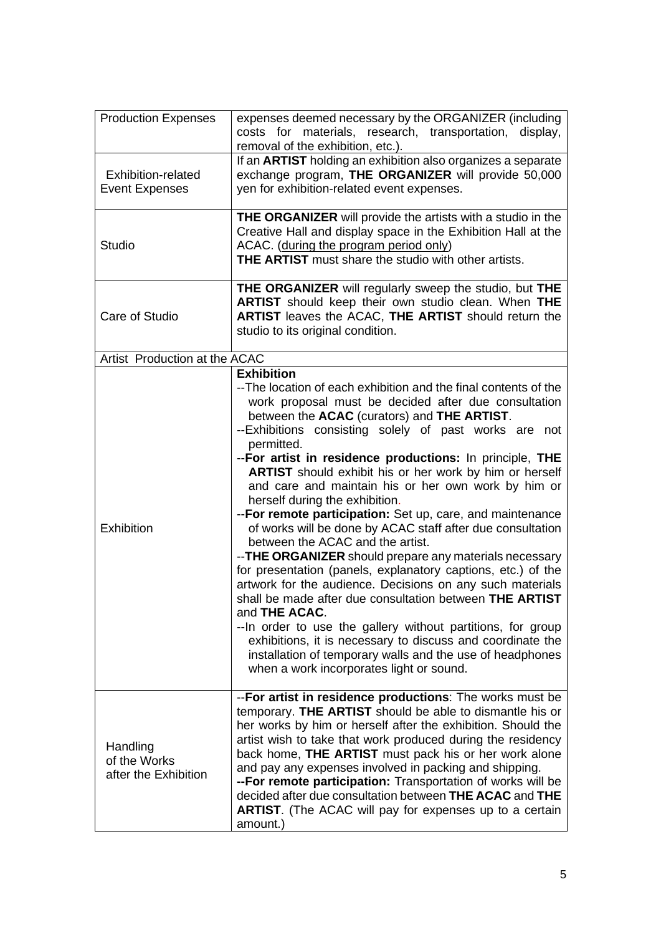| <b>Production Expenses</b>                       | expenses deemed necessary by the ORGANIZER (including<br>costs for materials, research, transportation, display,<br>removal of the exhibition, etc.).                                                                                                                                                                                                                                                                                                                                                                                                                                                                                                                                                                                                                                                                                                                                                                                                                                                                                                                                                                                                                |
|--------------------------------------------------|----------------------------------------------------------------------------------------------------------------------------------------------------------------------------------------------------------------------------------------------------------------------------------------------------------------------------------------------------------------------------------------------------------------------------------------------------------------------------------------------------------------------------------------------------------------------------------------------------------------------------------------------------------------------------------------------------------------------------------------------------------------------------------------------------------------------------------------------------------------------------------------------------------------------------------------------------------------------------------------------------------------------------------------------------------------------------------------------------------------------------------------------------------------------|
| Exhibition-related<br><b>Event Expenses</b>      | If an <b>ARTIST</b> holding an exhibition also organizes a separate<br>exchange program, THE ORGANIZER will provide 50,000<br>yen for exhibition-related event expenses.                                                                                                                                                                                                                                                                                                                                                                                                                                                                                                                                                                                                                                                                                                                                                                                                                                                                                                                                                                                             |
| <b>Studio</b>                                    | <b>THE ORGANIZER</b> will provide the artists with a studio in the<br>Creative Hall and display space in the Exhibition Hall at the<br>ACAC. (during the program period only)<br><b>THE ARTIST</b> must share the studio with other artists.                                                                                                                                                                                                                                                                                                                                                                                                                                                                                                                                                                                                                                                                                                                                                                                                                                                                                                                         |
| Care of Studio                                   | THE ORGANIZER will regularly sweep the studio, but THE<br><b>ARTIST</b> should keep their own studio clean. When THE<br>ARTIST leaves the ACAC, THE ARTIST should return the<br>studio to its original condition.                                                                                                                                                                                                                                                                                                                                                                                                                                                                                                                                                                                                                                                                                                                                                                                                                                                                                                                                                    |
| Artist Production at the ACAC                    |                                                                                                                                                                                                                                                                                                                                                                                                                                                                                                                                                                                                                                                                                                                                                                                                                                                                                                                                                                                                                                                                                                                                                                      |
| <b>Exhibition</b>                                | <b>Exhibition</b><br>--The location of each exhibition and the final contents of the<br>work proposal must be decided after due consultation<br>between the ACAC (curators) and THE ARTIST.<br>--Exhibitions consisting solely of past works are not<br>permitted.<br>-- For artist in residence productions: In principle, THE<br><b>ARTIST</b> should exhibit his or her work by him or herself<br>and care and maintain his or her own work by him or<br>herself during the exhibition.<br>-- For remote participation: Set up, care, and maintenance<br>of works will be done by ACAC staff after due consultation<br>between the ACAC and the artist.<br>-- THE ORGANIZER should prepare any materials necessary<br>for presentation (panels, explanatory captions, etc.) of the<br>artwork for the audience. Decisions on any such materials<br>shall be made after due consultation between THE ARTIST<br>and THE ACAC.<br>--In order to use the gallery without partitions, for group<br>exhibitions, it is necessary to discuss and coordinate the<br>installation of temporary walls and the use of headphones<br>when a work incorporates light or sound. |
| Handling<br>of the Works<br>after the Exhibition | -- For artist in residence productions: The works must be<br>temporary. THE ARTIST should be able to dismantle his or<br>her works by him or herself after the exhibition. Should the<br>artist wish to take that work produced during the residency<br>back home, THE ARTIST must pack his or her work alone<br>and pay any expenses involved in packing and shipping.<br>-- For remote participation: Transportation of works will be<br>decided after due consultation between THE ACAC and THE<br><b>ARTIST.</b> (The ACAC will pay for expenses up to a certain<br>amount.)                                                                                                                                                                                                                                                                                                                                                                                                                                                                                                                                                                                     |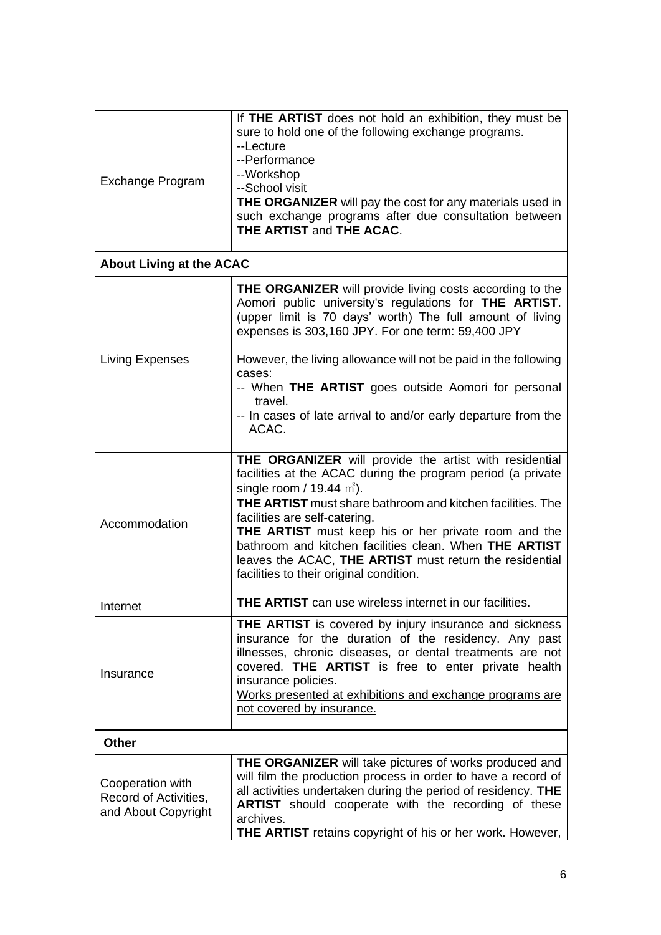| <b>Exchange Program</b>                                          | If THE ARTIST does not hold an exhibition, they must be<br>sure to hold one of the following exchange programs.<br>--Lecture<br>--Performance<br>--Workshop<br>--School visit<br><b>THE ORGANIZER</b> will pay the cost for any materials used in<br>such exchange programs after due consultation between<br><b>THE ARTIST and THE ACAC.</b>                                                                                                                                      |  |  |
|------------------------------------------------------------------|------------------------------------------------------------------------------------------------------------------------------------------------------------------------------------------------------------------------------------------------------------------------------------------------------------------------------------------------------------------------------------------------------------------------------------------------------------------------------------|--|--|
| <b>About Living at the ACAC</b>                                  |                                                                                                                                                                                                                                                                                                                                                                                                                                                                                    |  |  |
| Living Expenses                                                  | <b>THE ORGANIZER</b> will provide living costs according to the<br>Aomori public university's regulations for THE ARTIST.<br>(upper limit is 70 days' worth) The full amount of living<br>expenses is 303,160 JPY. For one term: 59,400 JPY<br>However, the living allowance will not be paid in the following                                                                                                                                                                     |  |  |
|                                                                  | cases:<br>-- When THE ARTIST goes outside Aomori for personal<br>travel.<br>-- In cases of late arrival to and/or early departure from the<br>ACAC.                                                                                                                                                                                                                                                                                                                                |  |  |
| Accommodation                                                    | THE ORGANIZER will provide the artist with residential<br>facilities at the ACAC during the program period (a private<br>single room / 19.44 $m2$ ).<br>THE ARTIST must share bathroom and kitchen facilities. The<br>facilities are self-catering.<br><b>THE ARTIST</b> must keep his or her private room and the<br>bathroom and kitchen facilities clean. When THE ARTIST<br>leaves the ACAC, THE ARTIST must return the residential<br>facilities to their original condition. |  |  |
| Internet                                                         | <b>THE ARTIST</b> can use wireless internet in our facilities.                                                                                                                                                                                                                                                                                                                                                                                                                     |  |  |
| Insurance                                                        | <b>THE ARTIST</b> is covered by injury insurance and sickness<br>insurance for the duration of the residency. Any past<br>illnesses, chronic diseases, or dental treatments are not<br>covered. THE ARTIST is free to enter private health<br>insurance policies.<br>Works presented at exhibitions and exchange programs are<br>not covered by insurance.                                                                                                                         |  |  |
| <b>Other</b>                                                     |                                                                                                                                                                                                                                                                                                                                                                                                                                                                                    |  |  |
| Cooperation with<br>Record of Activities,<br>and About Copyright | <b>THE ORGANIZER</b> will take pictures of works produced and<br>will film the production process in order to have a record of<br>all activities undertaken during the period of residency. THE<br><b>ARTIST</b> should cooperate with the recording of these<br>archives.<br><b>THE ARTIST</b> retains copyright of his or her work. However,                                                                                                                                     |  |  |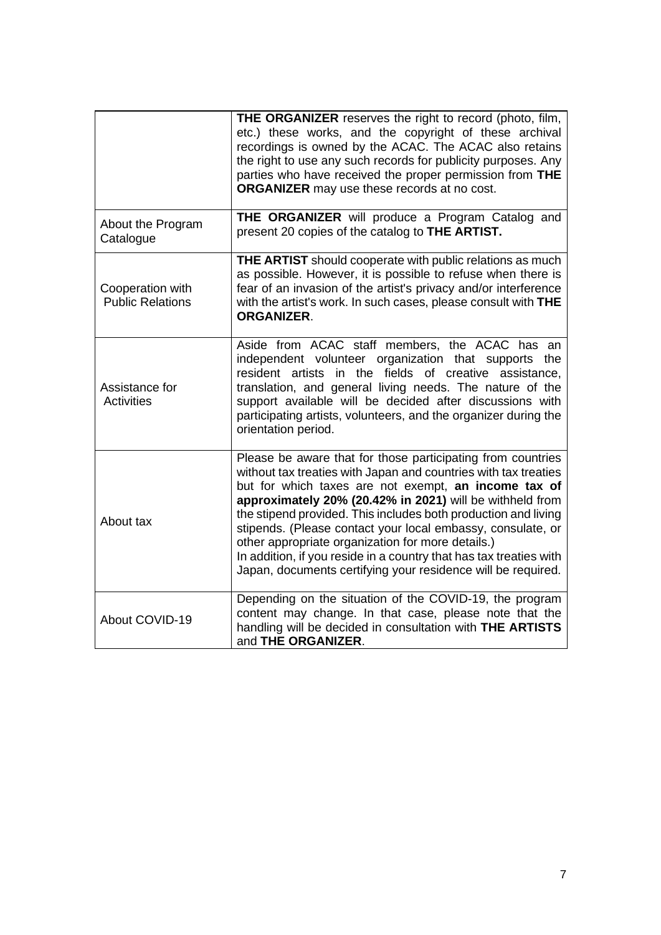|                                             | <b>THE ORGANIZER</b> reserves the right to record (photo, film,<br>etc.) these works, and the copyright of these archival<br>recordings is owned by the ACAC. The ACAC also retains<br>the right to use any such records for publicity purposes. Any<br>parties who have received the proper permission from THE<br><b>ORGANIZER</b> may use these records at no cost.                                                                                                                                                                                                         |
|---------------------------------------------|--------------------------------------------------------------------------------------------------------------------------------------------------------------------------------------------------------------------------------------------------------------------------------------------------------------------------------------------------------------------------------------------------------------------------------------------------------------------------------------------------------------------------------------------------------------------------------|
| About the Program<br>Catalogue              | THE ORGANIZER will produce a Program Catalog and<br>present 20 copies of the catalog to THE ARTIST.                                                                                                                                                                                                                                                                                                                                                                                                                                                                            |
| Cooperation with<br><b>Public Relations</b> | THE ARTIST should cooperate with public relations as much<br>as possible. However, it is possible to refuse when there is<br>fear of an invasion of the artist's privacy and/or interference<br>with the artist's work. In such cases, please consult with THE<br><b>ORGANIZER.</b>                                                                                                                                                                                                                                                                                            |
| Assistance for<br><b>Activities</b>         | Aside from ACAC staff members, the ACAC has an<br>independent volunteer organization that supports the<br>resident artists in the fields of creative assistance,<br>translation, and general living needs. The nature of the<br>support available will be decided after discussions with<br>participating artists, volunteers, and the organizer during the<br>orientation period.                                                                                                                                                                                             |
| About tax                                   | Please be aware that for those participating from countries<br>without tax treaties with Japan and countries with tax treaties<br>but for which taxes are not exempt, an income tax of<br>approximately 20% (20.42% in 2021) will be withheld from<br>the stipend provided. This includes both production and living<br>stipends. (Please contact your local embassy, consulate, or<br>other appropriate organization for more details.)<br>In addition, if you reside in a country that has tax treaties with<br>Japan, documents certifying your residence will be required. |
| About COVID-19                              | Depending on the situation of the COVID-19, the program<br>content may change. In that case, please note that the<br>handling will be decided in consultation with THE ARTISTS<br>and THE ORGANIZER.                                                                                                                                                                                                                                                                                                                                                                           |